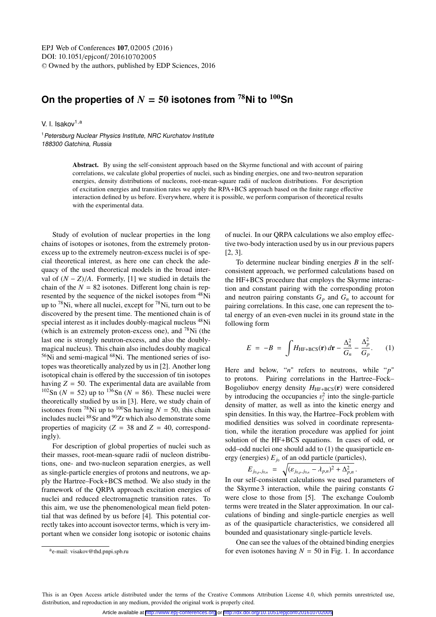## On the properties of  $N = 50$  isotones from  $^{78}$ Ni to  $^{100}$ Sn

V. I. Isakov $1, a$ 

<sup>1</sup> Petersburg Nuclear Physics Institute, NRC Kurchatov Institute 188300 Gatchina, Russia

> Abstract. By using the self-consistent approach based on the Skyrme functional and with account of pairing correlations, we calculate global properties of nuclei, such as binding energies, one and two-neutron separation energies, density distributions of nucleons, root-mean-square radii of nucleon distributions. For description of excitation energies and transition rates we apply the RPA+BCS approach based on the finite range effective interaction defined by us before. Everywhere, where it is possible, we perform comparison of theoretical results with the experimental data.

Study of evolution of nuclear properties in the long chains of isotopes or isotones, from the extremely protonexcess up to the extremely neutron-excess nuclei is of special theoretical interest, as here one can check the adequacy of the used theoretical models in the broad interval of  $(N - Z)/A$ . Formerly, [1] we studied in details the chain of the  $N = 82$  isotones. Different long chain is represented by the sequence of the nickel isotopes from <sup>48</sup>Ni up to  $^{78}$ Ni, where all nuclei, except for  $^{78}$ Ni, turn out to be discovered by the present time. The mentioned chain is of special interest as it includes doubly-magical nucleus <sup>48</sup>Ni (which is an extremely proton-excess one), and  $^{78}$ Ni (the last one is strongly neutron-excess, and also the doublymagical nucleus). This chain also includes doubly magical  $56$ Ni and semi-magical  $68$ Ni. The mentioned series of isotopes was theoretically analyzed by us in [2]. Another long isotopical chain is offered by the succession of tin isotopes having  $Z = 50$ . The experimental data are available from <sup>102</sup>Sn ( $N = 52$ ) up to <sup>136</sup>Sn ( $N = 86$ ). These nuclei were theoretically studied by us in [3]. Here, we study chain of isotones from <sup>78</sup>Ni up to <sup>100</sup>Sn having  $N = 50$ , this chain includes nuclei 88Sr and 90Zr which also demonstrate some properties of magicity ( $Z = 38$  and  $Z = 40$ , correspondingly).

For description of global properties of nuclei such as their masses, root-mean-square radii of nucleon distributions, one- and two-nucleon separation energies, as well as single-particle energies of protons and neutrons, we apply the Hartree–Fock+BCS method. We also study in the framework of the QRPA approach excitation energies of nuclei and reduced electromagnetic transition rates. To this aim, we use the phenomenological mean field potential that was defined by us before [4]. This potential correctly takes into account isovector terms, which is very important when we consider long isotopic or isotonic chains

of nuclei. In our QRPA calculations we also employ effective two-body interaction used by us in our previous papers [2, 3].

To determine nuclear binding energies *B* in the selfconsistent approach, we performed calculations based on the HF+BCS procedure that employs the Skyrme interaction and constant pairing with the corresponding proton and neutron pairing constants  $G_p$  and  $G_n$  to account for pairing correlations. In this case, one can represent the total energy of an even-even nuclei in its ground state in the following form

$$
E = -B = \int H_{\text{HF}+\text{BCS}}(\mathbf{r}) d\mathbf{r} - \frac{\Delta_n^2}{G_n} - \frac{\Delta_p^2}{G_p}.
$$
 (1)

Here and below, "*n*" refers to neutrons, while "*p*" to protons. Pairing correlations in the Hartree–Fock– Bogoliubov energy density  $H_{\text{HF+BCS}}(\mathbf{r})$  were considered by introducing the occupancies  $v_i^2$  into the single-particle<br>density of matter, as well as into the kinetic energy and density of matter, as well as into the kinetic energy and spin densities. In this way, the Hartree–Fock problem with modified densities was solved in coordinate representation, while the iteration procedure was applied for joint solution of the HF+BCS equations. In cases of odd, or odd–odd nuclei one should add to (1) the quasiparticle energy (energies)  $E_{i_0}$  of an odd particle (particles),

$$
E_{j_{0,p},j_{0,n}} = \sqrt{(\varepsilon_{j_{0,p},j_{0,n}} - \lambda_{p,n})^2 + \Delta_{p,n}^2}.
$$
  
In our self-consistent calculations we used parameters of

the Skyrme 3 interaction, while the pairing constants *G* were close to those from [5]. The exchange Coulomb terms were treated in the Slater approximation. In our calculations of binding and single-particle energies as well as of the quasiparticle characteristics, we considered all bounded and quasistationary single-particle levels.

One can see the values of the obtained binding energies for even isotones having  $N = 50$  in Fig. 1. In accordance

ae-mail: visakov@thd.pnpi.spb.ru

This is an Open Access article distributed under the terms of the Creative Commons Attribution License 4.0, which permits unrestricted use. distribution, and reproduction in any medium, provided the original work is properly cited.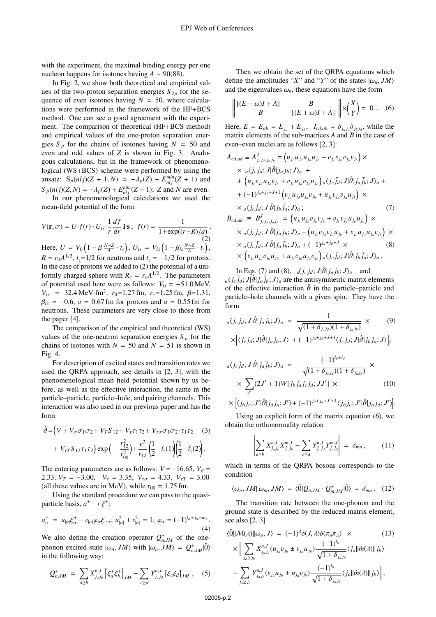with the experiment, the maximal binding energy per one nucleon happens for isotones having  $A \sim 90(88)$ .

In Fig. 2, we show both theoretical and empirical values of the two-proton separation energies  $S_{2p}$  for the sequence of even isotones having  $N = 50$ , where calculations were performed in the framework of the HF+BCS method. One can see a good agreement with the experiment. The comparison of theoretical (HF+BCS method) and empirical values of the one-proton separation energies  $S_p$  for the chains of isotones having  $N = 50$  and even and odd values of *Z* is shown in Fig. 3. Analogous calculations, but in the framework of phenomenological (WS+BCS) scheme were performed by using the ansatz:  $S_p(nJ)(Z + 1, N) = -\lambda_p(Z) - E_{nlj}^{min}(Z + 1)$  and<br> $S_p(nJ)(Z, N) = \lambda_z(Z) + E_{nlj}(Z - 1)$ .  $Z_{nlj} = \lambda_p(Z) + \lambda_p(Z)$  $S_p(nl)$  $(Z, N) = -\lambda_p(Z) + E^{min}_{nl} (Z - 1)$ ; *Z* and *N* are even.

In our phenomenological calculations we used the mean-field potential of the form

$$
V(\mathbf{r}, \sigma) = U \cdot f(r) + U_{ls} \cdot \frac{1}{r} \frac{df}{dr} \mathbf{1} \cdot \mathbf{s} \, ; \, f(r) = \frac{1}{1 + \exp((r - R)/a)} \tag{2}
$$

Here,  $U = V_0 \left(1 - \beta \frac{N - Z}{A} \cdot t_z\right)$ ,  $U_{ls} = V_{ls} \left(1 - \beta_{ls} \frac{N - Z}{A} \cdot t_z\right)$ ,  $R = r_0 A^{1/3}$ ,  $t_z = 1/2$  for neutrons and  $t_z = -1/2$  for protons. In the case of protons we added to (2) the potential of a uniformly charged sphere with  $R_c = r_c A^{1/3}$ . The parameters of potential used here were as follows:  $V_0 = -51.0 \text{ MeV}$ ,  $V_{ls}$  = 32.4 MeV·fm<sup>2</sup>,  $r_0$ =1.27 fm,  $r_c$ =1.25 fm,  $\beta$ =1.31,  $\beta_{ls} = -0.6$ , *a* = 0.67 fm for protons and *a* = 0.55 fm for neutrons. These parameters are very close to those from the paper [4].

The comparison of the empirical and theoretical (WS) values of the one-neutron separation energies  $S_p$  for the chains of isotones with  $N = 50$  and  $N = 51$  is shown in Fig. 4.

For description of excited states and transition rates we used the QRPA approach, see details in [2, 3], with the phenomenological mean field potential shown by us before, as well as the effective interaction, the same in the particle–particle, particle–hole, and pairing channels. This interaction was also used in our previous paper and has the form

$$
\hat{\vartheta} = \left( V + V_{\sigma} \sigma_1 \sigma_2 + V_T S_{12} + V_{\tau} \tau_1 \tau_2 + V_{\tau \sigma} \sigma_1 \sigma_2 \cdot \tau_1 \tau_2 \right) \tag{3}
$$

$$
+ V_{\tau T} S_{12} \tau_1 \tau_2 \big) \exp \Big( - \frac{r_{12}^2}{r_{00}^2} \Big) + \frac{e^2}{r_{12}} \left( \frac{1}{2} - \hat{t}_z(1) \right) \left( \frac{1}{2} - \hat{t}_z(2) \right).
$$

The entering parameters are as follows:  $V = -16.65$ ,  $V_{\sigma} =$ 2.33,  $V_T = -3.00$ ,  $V_\tau = 3.35$ ,  $V_{\tau\sigma} = 4.33$ ,  $V_{\tau T} = 3.00$ (all these values are in MeV), while  $r_{00} = 1.75$  fm.

Using the standard procedure we can pass to the quasiparticle basis,  $a^+ \rightarrow \xi^+$ :

$$
a_{\alpha}^{+} = u_{|\alpha|} \xi_{\alpha}^{+} - v_{|\alpha|} \varphi_{\alpha} \xi_{-\alpha}; \ u_{|\alpha|}^{2} + v_{|\alpha|}^{2} = 1; \ \varphi_{\alpha} = (-1)^{l_{\alpha} + j_{\alpha} - m_{\alpha}}.
$$
\n(4)

We also define the creation operator  $Q_{n,M}^+$  of the one-<br> **phonon** quajted at the *JM* with  $\mu$ , *JM* =  $Q^+$  =  $\stackrel{\text{(a)}}{=}$ phonon excited state  $|\omega_n, JM\rangle$  with  $|\omega_n, JM\rangle = Q_{n, JM}^+|\tilde{0}\rangle$ <br>in the following way: in the following way:

$$
Q_{n,JM}^{+} = \sum_{a \geq b} X_{j_a j_b}^{n,J} \left[ \xi_a^+ \xi_b^+ \right]_{JM} - \sum_{c \geq d} Y_{j_c j_d}^{n,J} \left[ \xi_c \xi_d \right]_{JM}, \quad (5)
$$

Then we obtain the set of the ORPA equations which define the amplitudes "*X*" and "*Y*" of the states  $|\omega_n, JM\rangle$ and the eigenvalues  $\omega_n$ , these equations have the form

$$
\left\| \begin{matrix} [ (E - \omega)I + A ] \\ -B \end{matrix} \right\|_{\mathcal{L}} = \begin{matrix} B \\ [ (E + \omega)I + A ] \end{matrix} \right\| \times \begin{pmatrix} X \\ Y \end{pmatrix} = 0. . (6)
$$

Here,  $E = E_{ab} = E_{j_a} + E_{j_b}$ ,  $I_{cd,ab} = \delta_{j_a j_c} \delta_{j_b j_d}$ , while the matrix elements of the sub-matrices *A* and *B* in the case of even–even nuclei are as follows [2, 3]:

$$
A_{cd,ab} \equiv A_{j_c,j_d,j_aj_b}^J = (u_{j_c}u_{j_d}u_{j_a}u_{j_b} + v_{j_c}v_{j_d}v_{j_a}v_{j_b}) \times
$$
  
\n
$$
\times a\langle j_c j_d; J|\hat{\theta}|j_a j_b; J\rangle_a +
$$
  
\n
$$
+ (u_{j_c}v_{j_d}u_{j_a}v_{j_b} + v_{j_c}u_{j_d}v_{j_a}u_{j_b}) a\langle j_c \bar{j}_d; J|\hat{\theta}|j_a \bar{j}_b; J\rangle_a +
$$
  
\n
$$
+ (-1)^{j_a+j_b+J+1} (v_{j_c}u_{j_d}u_{j_a}v_{j_b} + u_{j_c}v_{j_d}v_{j_a}u_{j_b}) \times
$$
  
\n
$$
\times a\langle j_c \bar{j}_d; J|\hat{\theta}|j_b \bar{j}_a; J\rangle_a ; \qquad (7)
$$
  
\n
$$
B_{cd,ab} \equiv B_{j_c,j_d,j_aj_b}^J = (u_{j_c}u_{j_d}v_{j_a}v_{j_b} + v_{j_c}v_{j_d}u_{j_a}u_{j_b}) \times
$$
  
\n
$$
\times a\langle j_c j_d; J|\hat{\theta}|j_a j_b; J\rangle_a - (u_{j_c}v_{j_d}v_{j_a}u_{j_b} + v_{j_c}u_{j_d}u_{j_a}v_{j_b}) \times
$$
  
\n
$$
\times a\langle j_c \bar{j}_d; J|\hat{\theta}|j_a \bar{j}_b; J\rangle_a + (-1)^{j_a+j_b+J} \times \qquad (8)
$$
  
\n
$$
\times (v_{j_c}u_{j_d}v_{j_a}u_{j_b} + u_{j_c}v_{j_d}u_{j_a}v_{j_b}) a\langle j_c \bar{j}_d; J|\hat{\theta}|j_b \bar{j}_a; J\rangle_a .
$$

In Eqs. (7) and (8),  $\frac{d}{dz} j_d$ ;  $J|\hat{\theta}| j_a j_b$ ;  $J\rangle_a$  and  $a\langle j_c \bar{j}_d; J|\hat{\partial}|j_a \bar{j}_b; J\rangle_a$  are the antisymmetric matrix elements of the effective interaction  $\hat{\theta}$  in the particle–particle and particle–hole channels with a given spin. They have the form

$$
{}_{a}\langle j_{c}j_{d};J|\hat{\partial}|j_{a}j_{b};J\rangle_{a} = \frac{1}{\sqrt{(1+\delta_{j_{c}j_{d}})(1+\delta_{j_{a}j_{b}})}} \times (9)
$$

$$
\times \Big[ \langle j_{c}j_{d};J|\hat{\partial}|j_{a}j_{b};J \rangle + (-1)^{j_{a}+j_{b}+J+1} \langle j_{c}j_{d};J|\hat{\partial}|j_{b}j_{a};J \rangle \Big],
$$

$$
a\langle j_c \bar{j}_d; J|\hat{\vartheta}|j_a \bar{j}_b; J\rangle_a = -\frac{(-1)^{l_b + l_d}}{\sqrt{(1 + \delta_{j_c j_d})(1 + \delta_{j_a j_b})}} \times \times \sum_{J'} (2J' + 1)W[j_b j_a j_c j_d; JJ'] \times (10)
$$

$$
\times \Big[ \langle j_b j_c; J' | \hat{\vartheta} | j_d j_a; J' \rangle + (-1)^{j_d + j_a + J' + 1} \langle j_b j_c; J' | \hat{\vartheta} | j_a j_d; J' \rangle \Big].
$$

Using an explicit form of the matrix equation (6), we obtain the orthonormality relation

$$
\left| \sum_{a \ge b} X_{j_a j_b}^{n,J} X_{j_a j_b}^{m,J} - \sum_{c \ge d} Y_{j_c j_d}^{n,J} Y_{j_c j_d}^{m,J} \right| = \delta_{mn}, \quad (11)
$$

which in terms of the QRPA bosons corresponds to the condition

$$
\langle \omega_n, JM | \omega_m, JM \rangle = \langle \tilde{0} | Q_{n, JM} \cdot Q_{m, JM}^+ | \tilde{0} \rangle = \delta_{mn}. \quad (12)
$$

The transition rate between the one-phonon and the ground state is described by the reduced matrix element, see also [2, 3]

$$
\langle \tilde{0} || \mathcal{M}(\lambda) || \omega_n, J \rangle = (-1)^{\lambda} \delta(J, \lambda) \delta(\pi_n \pi_{\lambda}) \times (13)
$$

$$
\times \Big[ \sum_{j_a \geq j_b} X_{j_a j_b}^{n,J} (u_{j_a} v_{j_b} \pm v_{j_a} u_{j_b}) \frac{(-1)^{l_b}}{\sqrt{1 + \delta_{j_a j_b}}} \langle j_a || \hat{m}(\lambda) || j_b \rangle - \\ - \sum_{j_a \geq j_b} Y_{j_a j_b}^{n,J} (v_{j_a} u_{j_b} \pm u_{j_a} v_{j_b}) \frac{(-1)^{l_b}}{\sqrt{1 + \delta_{j_a j_b}}} \langle j_a || \hat{m}(\lambda) || j_b \rangle \Big],
$$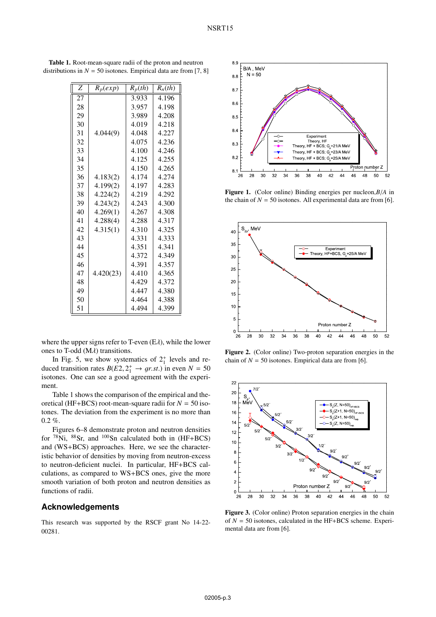| $\boldsymbol{Z}$ | $R_p(exp)$ | $R_p(th)$ | $R_n(th)$ |
|------------------|------------|-----------|-----------|
| 27               |            | 3.933     | 4.196     |
| 28               |            | 3.957     | 4.198     |
| 29               |            | 3.989     | 4.208     |
| 30               |            | 4.019     | 4.218     |
| 31               | 4.044(9)   | 4.048     | 4.227     |
| 32               |            | 4.075     | 4.236     |
| 33               |            | 4.100     | 4.246     |
| 34               |            | 4.125     | 4.255     |
| 35               |            | 4.150     | 4.265     |
| 36               | 4.183(2)   | 4.174     | 4.274     |
| 37               | 4.199(2)   | 4.197     | 4.283     |
| 38               | 4.224(2)   | 4.219     | 4.292     |
| 39               | 4.243(2)   | 4.243     | 4.300     |
| 40               | 4.269(1)   | 4.267     | 4.308     |
| 41               | 4.288(4)   | 4.288     | 4.317     |
| 42               | 4.315(1)   | 4.310     | 4.325     |
| 43               |            | 4.331     | 4.333     |
| 44               |            | 4.351     | 4.341     |
| 45               |            | 4.372     | 4.349     |
| 46               |            | 4.391     | 4.357     |
| 47               | 4.420(23)  | 4.410     | 4.365     |
| 48               |            | 4.429     | 4.372     |
| 49               |            | 4.447     | 4.380     |
| 50               |            | 4.464     | 4.388     |
| 51               |            | 4.494     | 4.399     |

Table 1. Root-mean-square radii of the proton and neutron distributions in  $N = 50$  isotones. Empirical data are from [7, 8]

where the upper signs refer to T-even  $(E\lambda)$ , while the lower ones to T-odd  $(M\lambda)$  transitions.

In Fig. 5, we show systematics of  $2^+_1$  levels and reduced transition rates  $B(E2, 2^+_1 \rightarrow gr.st.)$  in even  $N = 50$ <br>isotones. One can see a good agreement with the experiisotones. One can see a good agreement with the experiment.

Table 1 shows the comparison of the empirical and theoretical (HF+BCS) root-mean-square radii for  $N = 50$  isotones. The deviation from the experiment is no more than  $0.2 \%$ .

Figures 6–8 demonstrate proton and neutron densities for  $^{78}$ Ni,  $^{88}$ Sr, and  $^{100}$ Sn calculated both in (HF+BCS) and (WS+BCS) approaches. Here, we see the characteristic behavior of densities by moving from neutron-excess to neutron-deficient nuclei. In particular, HF+BCS calculations, as compared to WS+BCS ones, give the more smooth variation of both proton and neutron densities as functions of radii.

## **Acknowledgements**

This research was supported by the RSCF grant No 14-22- 00281.



Figure 1. (Color online) Binding energies per nucleon,*B*/*<sup>A</sup>* in the chain of  $N = 50$  isotones. All experimental data are from [6].



Figure 2. (Color online) Two-proton separation energies in the chain of  $N = 50$  isotones. Empirical data are from [6].



Figure 3. (Color online) Proton separation energies in the chain of *N* = 50 isotones, calculated in the HF+BCS scheme. Experimental data are from [6].